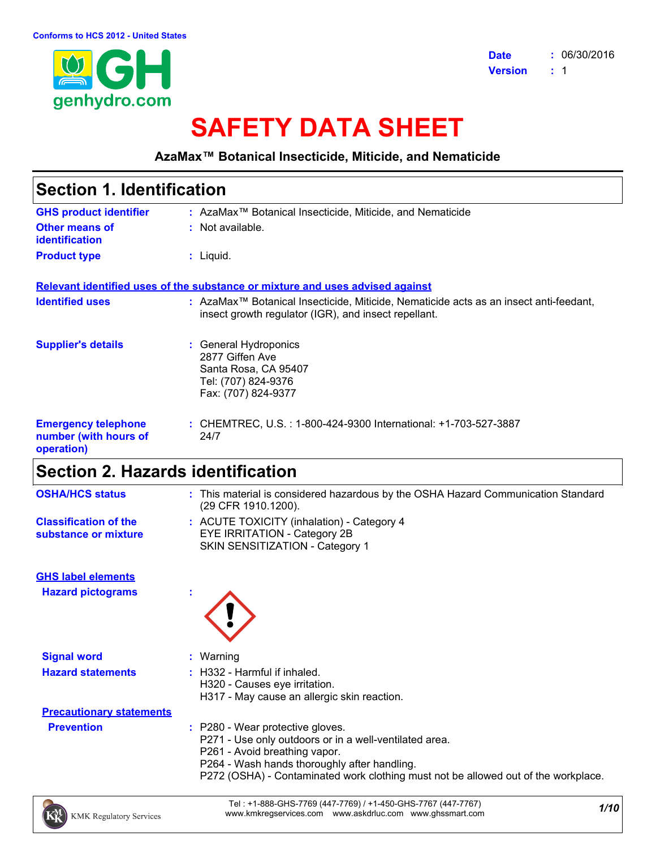

# **SAFETY DATA SHEET**

**AzaMax™ Botanical Insecticide, Miticide, and Nematicide**

| <b>Section 1. Identification</b>                                  |                                                                                                                                                           |
|-------------------------------------------------------------------|-----------------------------------------------------------------------------------------------------------------------------------------------------------|
| <b>GHS product identifier</b>                                     | : AzaMax <sup>™</sup> Botanical Insecticide, Miticide, and Nematicide                                                                                     |
| Other means of<br>identification                                  | : Not available.                                                                                                                                          |
| <b>Product type</b>                                               | : Liquid.                                                                                                                                                 |
|                                                                   | Relevant identified uses of the substance or mixture and uses advised against                                                                             |
| <b>Identified uses</b>                                            | : AzaMax <sup>™</sup> Botanical Insecticide, Miticide, Nematicide acts as an insect anti-feedant,<br>insect growth regulator (IGR), and insect repellant. |
| <b>Supplier's details</b>                                         | : General Hydroponics<br>2877 Giffen Ave<br>Santa Rosa, CA 95407<br>Tel: (707) 824-9376<br>Fax: (707) 824-9377                                            |
| <b>Emergency telephone</b><br>number (with hours of<br>operation) | : CHEMTREC, U.S. : 1-800-424-9300 International: +1-703-527-3887<br>24/7                                                                                  |
| Section 2. Hazards identification                                 |                                                                                                                                                           |
| AAII A II I AA                                                    | This control the constitution of the control of the COITA Theory (Original Company) of the Office device                                                  |

| <b>OSHA/HCS status</b>                               | : This material is considered hazardous by the OSHA Hazard Communication Standard<br>(29 CFR 1910.1200).                                                                                                                                                          |  |
|------------------------------------------------------|-------------------------------------------------------------------------------------------------------------------------------------------------------------------------------------------------------------------------------------------------------------------|--|
| <b>Classification of the</b><br>substance or mixture | : ACUTE TOXICITY (inhalation) - Category 4<br>EYE IRRITATION - Category 2B<br>SKIN SENSITIZATION - Category 1                                                                                                                                                     |  |
| <b>GHS label elements</b>                            |                                                                                                                                                                                                                                                                   |  |
| <b>Hazard pictograms</b>                             |                                                                                                                                                                                                                                                                   |  |
| <b>Signal word</b>                                   | $:$ Warning                                                                                                                                                                                                                                                       |  |
| <b>Hazard statements</b>                             | $:$ H332 - Harmful if inhaled.<br>H320 - Causes eye irritation.<br>H317 - May cause an allergic skin reaction.                                                                                                                                                    |  |
| <b>Precautionary statements</b>                      |                                                                                                                                                                                                                                                                   |  |
| <b>Prevention</b>                                    | : P280 - Wear protective gloves.<br>P271 - Use only outdoors or in a well-ventilated area.<br>P261 - Avoid breathing vapor.<br>P264 - Wash hands thoroughly after handling.<br>P272 (OSHA) - Contaminated work clothing must not be allowed out of the workplace. |  |

*1/10* Tel : +1-888-GHS-7769 (447-7769) / +1-450-GHS-7767 (447-7767) www.kmkregservices.com www.askdrluc.com www.ghssmart.com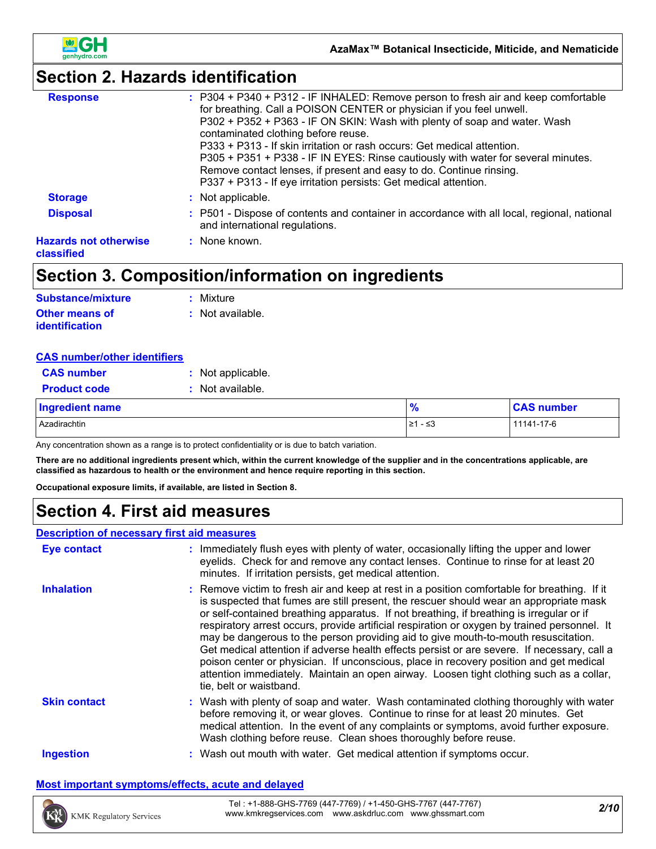

# **Section 2. Hazards identification**

| : P304 + P340 + P312 - IF INHALED: Remove person to fresh air and keep comfortable<br>P302 + P352 + P363 - IF ON SKIN: Wash with plenty of soap and water. Wash |
|-----------------------------------------------------------------------------------------------------------------------------------------------------------------|
| P305 + P351 + P338 - IF IN EYES: Rinse cautiously with water for several minutes.                                                                               |
|                                                                                                                                                                 |
| : P501 - Dispose of contents and container in accordance with all local, regional, national                                                                     |
|                                                                                                                                                                 |
|                                                                                                                                                                 |

# **Section 3. Composition/information on ingredients**

| <b>Substance/mixture</b> | : Mixture        |
|--------------------------|------------------|
| <b>Other means of</b>    | : Not available. |
| <i>identification</i>    |                  |

| <b>CAS number/other identifiers</b> |                   |               |                   |  |
|-------------------------------------|-------------------|---------------|-------------------|--|
| <b>CAS number</b>                   | : Not applicable. |               |                   |  |
| <b>Product code</b>                 | Not available.    |               |                   |  |
| <b>Ingredient name</b>              |                   | $\frac{9}{6}$ | <b>CAS number</b> |  |
| Azadirachtin                        |                   | 1≥1 - ≤3      | 11141-17-6        |  |

Any concentration shown as a range is to protect confidentiality or is due to batch variation.

**There are no additional ingredients present which, within the current knowledge of the supplier and in the concentrations applicable, are classified as hazardous to health or the environment and hence require reporting in this section.**

**Occupational exposure limits, if available, are listed in Section 8.**

### **Section 4. First aid measures**

### **Description of necessary first aid measures**

| <b>Eye contact</b>  | : Immediately flush eyes with plenty of water, occasionally lifting the upper and lower<br>eyelids. Check for and remove any contact lenses. Continue to rinse for at least 20<br>minutes. If irritation persists, get medical attention.                                                                                                                                                                                                                                                                                                                                                                                                                                                                                                                                               |  |
|---------------------|-----------------------------------------------------------------------------------------------------------------------------------------------------------------------------------------------------------------------------------------------------------------------------------------------------------------------------------------------------------------------------------------------------------------------------------------------------------------------------------------------------------------------------------------------------------------------------------------------------------------------------------------------------------------------------------------------------------------------------------------------------------------------------------------|--|
| <b>Inhalation</b>   | : Remove victim to fresh air and keep at rest in a position comfortable for breathing. If it<br>is suspected that fumes are still present, the rescuer should wear an appropriate mask<br>or self-contained breathing apparatus. If not breathing, if breathing is irregular or if<br>respiratory arrest occurs, provide artificial respiration or oxygen by trained personnel. It<br>may be dangerous to the person providing aid to give mouth-to-mouth resuscitation.<br>Get medical attention if adverse health effects persist or are severe. If necessary, call a<br>poison center or physician. If unconscious, place in recovery position and get medical<br>attention immediately. Maintain an open airway. Loosen tight clothing such as a collar,<br>tie, belt or waistband. |  |
| <b>Skin contact</b> | : Wash with plenty of soap and water. Wash contaminated clothing thoroughly with water<br>before removing it, or wear gloves. Continue to rinse for at least 20 minutes. Get<br>medical attention. In the event of any complaints or symptoms, avoid further exposure.<br>Wash clothing before reuse. Clean shoes thoroughly before reuse.                                                                                                                                                                                                                                                                                                                                                                                                                                              |  |
| <b>Ingestion</b>    | : Wash out mouth with water. Get medical attention if symptoms occur.                                                                                                                                                                                                                                                                                                                                                                                                                                                                                                                                                                                                                                                                                                                   |  |

#### **Most important symptoms/effects, acute and delayed**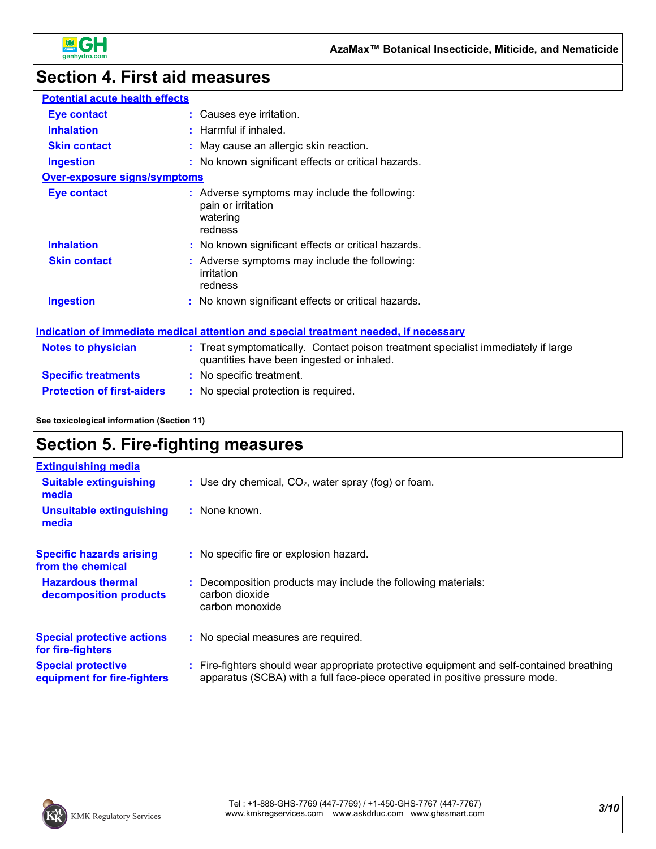

# **Section 4. First aid measures**

| <b>Potential acute health effects</b> |                                                                                                                                |
|---------------------------------------|--------------------------------------------------------------------------------------------------------------------------------|
| Eye contact                           | : Causes eye irritation.                                                                                                       |
| <b>Inhalation</b>                     | $:$ Harmful if inhaled.                                                                                                        |
| <b>Skin contact</b>                   | : May cause an allergic skin reaction.                                                                                         |
| <b>Ingestion</b>                      | : No known significant effects or critical hazards.                                                                            |
| <b>Over-exposure signs/symptoms</b>   |                                                                                                                                |
| Eye contact                           | : Adverse symptoms may include the following:<br>pain or irritation<br>watering<br>redness                                     |
| <b>Inhalation</b>                     | : No known significant effects or critical hazards.                                                                            |
| <b>Skin contact</b>                   | : Adverse symptoms may include the following:<br>irritation<br>redness                                                         |
| <b>Ingestion</b>                      | : No known significant effects or critical hazards.                                                                            |
|                                       | <u>Indication of immediate medical attention and special treatment needed, if necessary</u>                                    |
| Notes to physician                    | : Treat symptomatically. Contact poison treatment specialist immediately if large<br>quantities have been ingested or inhaled. |

| <b>Specific treatments</b> | : No specific treatment. |  |
|----------------------------|--------------------------|--|

**Protection of first-aiders :** No special protection is required.

**See toxicological information (Section 11)**

# **Section 5. Fire-fighting measures**

| <b>Extinguishing media</b>                               |                                                                                                                                                                        |
|----------------------------------------------------------|------------------------------------------------------------------------------------------------------------------------------------------------------------------------|
| <b>Suitable extinguishing</b><br>media                   | : Use dry chemical, $CO2$ , water spray (fog) or foam.                                                                                                                 |
| <b>Unsuitable extinguishing</b><br>media                 | : None known.                                                                                                                                                          |
| <b>Specific hazards arising</b><br>from the chemical     | : No specific fire or explosion hazard.                                                                                                                                |
| <b>Hazardous thermal</b><br>decomposition products       | : Decomposition products may include the following materials:<br>carbon dioxide<br>carbon monoxide                                                                     |
| <b>Special protective actions</b><br>for fire-fighters   | : No special measures are required.                                                                                                                                    |
| <b>Special protective</b><br>equipment for fire-fighters | Fire-fighters should wear appropriate protective equipment and self-contained breathing<br>apparatus (SCBA) with a full face-piece operated in positive pressure mode. |

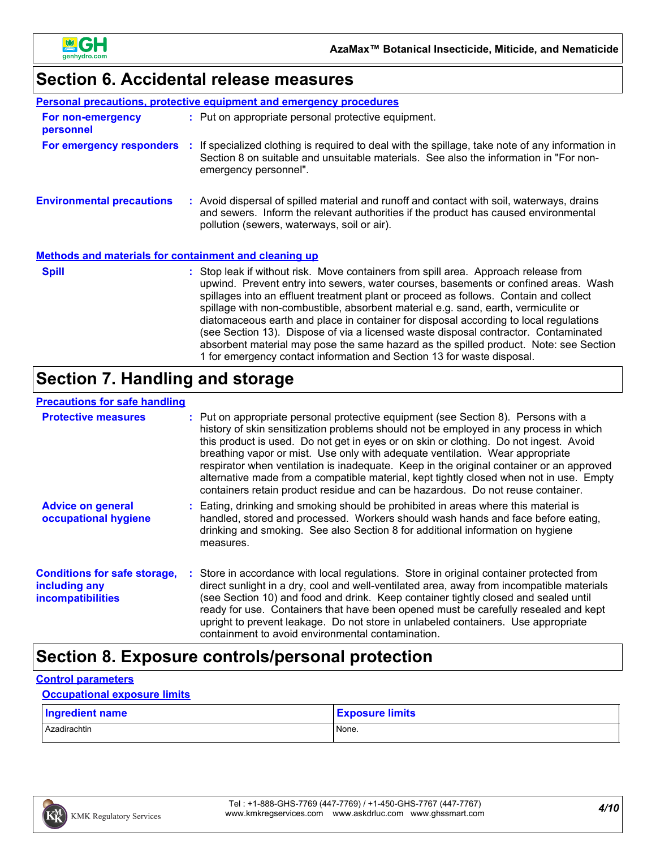

# **Section 6. Accidental release measures**

|                                                              |  | <b>Personal precautions, protective equipment and emergency procedures</b>                                                                                                                                                                                                                                                                                                                                                                                                                                                                                                                                                                                                                                   |  |
|--------------------------------------------------------------|--|--------------------------------------------------------------------------------------------------------------------------------------------------------------------------------------------------------------------------------------------------------------------------------------------------------------------------------------------------------------------------------------------------------------------------------------------------------------------------------------------------------------------------------------------------------------------------------------------------------------------------------------------------------------------------------------------------------------|--|
| For non-emergency<br>personnel                               |  | : Put on appropriate personal protective equipment.                                                                                                                                                                                                                                                                                                                                                                                                                                                                                                                                                                                                                                                          |  |
|                                                              |  | For emergency responders : If specialized clothing is required to deal with the spillage, take note of any information in<br>Section 8 on suitable and unsuitable materials. See also the information in "For non-<br>emergency personnel".                                                                                                                                                                                                                                                                                                                                                                                                                                                                  |  |
| <b>Environmental precautions</b>                             |  | : Avoid dispersal of spilled material and runoff and contact with soil, waterways, drains<br>and sewers. Inform the relevant authorities if the product has caused environmental<br>pollution (sewers, waterways, soil or air).                                                                                                                                                                                                                                                                                                                                                                                                                                                                              |  |
| <b>Methods and materials for containment and cleaning up</b> |  |                                                                                                                                                                                                                                                                                                                                                                                                                                                                                                                                                                                                                                                                                                              |  |
| <b>Spill</b>                                                 |  | : Stop leak if without risk. Move containers from spill area. Approach release from<br>upwind. Prevent entry into sewers, water courses, basements or confined areas. Wash<br>spillages into an effluent treatment plant or proceed as follows. Contain and collect<br>spillage with non-combustible, absorbent material e.g. sand, earth, vermiculite or<br>diatomaceous earth and place in container for disposal according to local regulations<br>(see Section 13). Dispose of via a licensed waste disposal contractor. Contaminated<br>absorbent material may pose the same hazard as the spilled product. Note: see Section<br>1 for emergency contact information and Section 13 for waste disposal. |  |

# **Section 7. Handling and storage**

### **Precautions for safe handling**

| <b>Protective measures</b>                                                       | : Put on appropriate personal protective equipment (see Section 8). Persons with a<br>history of skin sensitization problems should not be employed in any process in which<br>this product is used. Do not get in eyes or on skin or clothing. Do not ingest. Avoid<br>breathing vapor or mist. Use only with adequate ventilation. Wear appropriate<br>respirator when ventilation is inadequate. Keep in the original container or an approved<br>alternative made from a compatible material, kept tightly closed when not in use. Empty<br>containers retain product residue and can be hazardous. Do not reuse container. |
|----------------------------------------------------------------------------------|---------------------------------------------------------------------------------------------------------------------------------------------------------------------------------------------------------------------------------------------------------------------------------------------------------------------------------------------------------------------------------------------------------------------------------------------------------------------------------------------------------------------------------------------------------------------------------------------------------------------------------|
| <b>Advice on general</b><br>occupational hygiene                                 | : Eating, drinking and smoking should be prohibited in areas where this material is<br>handled, stored and processed. Workers should wash hands and face before eating,<br>drinking and smoking. See also Section 8 for additional information on hygiene<br>measures.                                                                                                                                                                                                                                                                                                                                                          |
| <b>Conditions for safe storage,</b><br>including any<br><b>incompatibilities</b> | : Store in accordance with local regulations. Store in original container protected from<br>direct sunlight in a dry, cool and well-ventilated area, away from incompatible materials<br>(see Section 10) and food and drink. Keep container tightly closed and sealed until<br>ready for use. Containers that have been opened must be carefully resealed and kept<br>upright to prevent leakage. Do not store in unlabeled containers. Use appropriate<br>containment to avoid environmental contamination.                                                                                                                   |

# **Section 8. Exposure controls/personal protection**

### **Control parameters**

#### **Occupational exposure limits**

| Ingredient name | <b>Exposure limits</b> |
|-----------------|------------------------|
| Azadirachtin    | None.                  |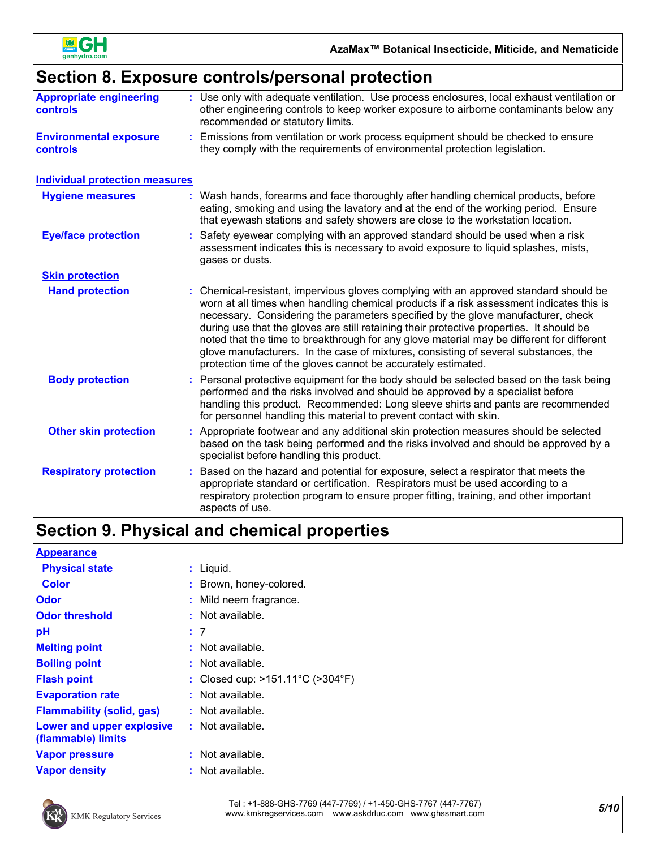

# **Section 8. Exposure controls/personal protection**

| <b>Appropriate engineering</b><br><b>controls</b> | : Use only with adequate ventilation. Use process enclosures, local exhaust ventilation or<br>other engineering controls to keep worker exposure to airborne contaminants below any<br>recommended or statutory limits.                                                                                                                                                                                                                                                                                                                                                                                                |
|---------------------------------------------------|------------------------------------------------------------------------------------------------------------------------------------------------------------------------------------------------------------------------------------------------------------------------------------------------------------------------------------------------------------------------------------------------------------------------------------------------------------------------------------------------------------------------------------------------------------------------------------------------------------------------|
| <b>Environmental exposure</b><br><b>controls</b>  | Emissions from ventilation or work process equipment should be checked to ensure<br>they comply with the requirements of environmental protection legislation.                                                                                                                                                                                                                                                                                                                                                                                                                                                         |
| <b>Individual protection measures</b>             |                                                                                                                                                                                                                                                                                                                                                                                                                                                                                                                                                                                                                        |
| <b>Hygiene measures</b>                           | Wash hands, forearms and face thoroughly after handling chemical products, before<br>eating, smoking and using the lavatory and at the end of the working period. Ensure<br>that eyewash stations and safety showers are close to the workstation location.                                                                                                                                                                                                                                                                                                                                                            |
| <b>Eye/face protection</b>                        | Safety eyewear complying with an approved standard should be used when a risk<br>assessment indicates this is necessary to avoid exposure to liquid splashes, mists,<br>gases or dusts.                                                                                                                                                                                                                                                                                                                                                                                                                                |
| <b>Skin protection</b>                            |                                                                                                                                                                                                                                                                                                                                                                                                                                                                                                                                                                                                                        |
| <b>Hand protection</b>                            | : Chemical-resistant, impervious gloves complying with an approved standard should be<br>worn at all times when handling chemical products if a risk assessment indicates this is<br>necessary. Considering the parameters specified by the glove manufacturer, check<br>during use that the gloves are still retaining their protective properties. It should be<br>noted that the time to breakthrough for any glove material may be different for different<br>glove manufacturers. In the case of mixtures, consisting of several substances, the<br>protection time of the gloves cannot be accurately estimated. |
| <b>Body protection</b>                            | Personal protective equipment for the body should be selected based on the task being<br>performed and the risks involved and should be approved by a specialist before<br>handling this product. Recommended: Long sleeve shirts and pants are recommended<br>for personnel handling this material to prevent contact with skin.                                                                                                                                                                                                                                                                                      |
| <b>Other skin protection</b>                      | Appropriate footwear and any additional skin protection measures should be selected<br>based on the task being performed and the risks involved and should be approved by a<br>specialist before handling this product.                                                                                                                                                                                                                                                                                                                                                                                                |
| <b>Respiratory protection</b>                     | Based on the hazard and potential for exposure, select a respirator that meets the<br>appropriate standard or certification. Respirators must be used according to a<br>respiratory protection program to ensure proper fitting, training, and other important<br>aspects of use.                                                                                                                                                                                                                                                                                                                                      |

# **Section 9. Physical and chemical properties**

### **Appearance**

| <b>Physical state</b>                           | : Liquid.                                             |
|-------------------------------------------------|-------------------------------------------------------|
| <b>Color</b>                                    | : Brown, honey-colored.                               |
| Odor                                            | : Mild neem fragrance.                                |
| <b>Odor threshold</b>                           | : Not available.                                      |
| рH                                              | : 7                                                   |
| <b>Melting point</b>                            | $:$ Not available.                                    |
| <b>Boiling point</b>                            | $:$ Not available.                                    |
| <b>Flash point</b>                              | : Closed cup: $>151.11^{\circ}$ C ( $>304^{\circ}$ F) |
| <b>Evaporation rate</b>                         | $:$ Not available.                                    |
| <b>Flammability (solid, gas)</b>                | $:$ Not available.                                    |
| Lower and upper explosive<br>(flammable) limits | $:$ Not available.                                    |
| <b>Vapor pressure</b>                           | $:$ Not available.                                    |
| <b>Vapor density</b>                            | $:$ Not available.                                    |



*5/10* Tel : +1-888-GHS-7769 (447-7769) / +1-450-GHS-7767 (447-7767) www.kmkregservices.com www.askdrluc.com www.ghssmart.com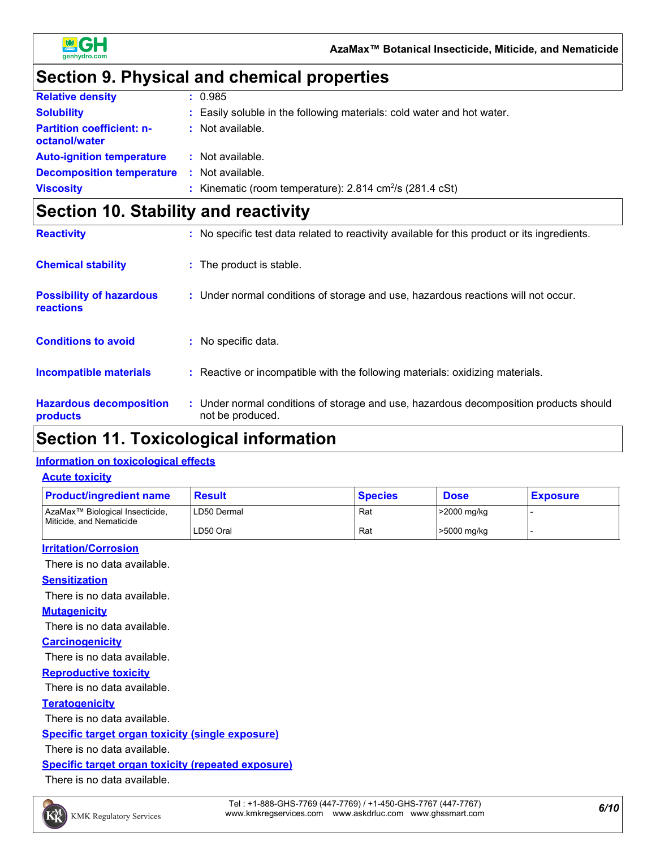

# **Section 9. Physical and chemical properties**

| <b>Relative density</b>                           | : 0.985                                                                   |
|---------------------------------------------------|---------------------------------------------------------------------------|
| <b>Solubility</b>                                 | : Easily soluble in the following materials: cold water and hot water.    |
| <b>Partition coefficient: n-</b><br>octanol/water | $:$ Not available.                                                        |
| <b>Auto-ignition temperature</b>                  | : Not available.                                                          |
| <b>Decomposition temperature</b>                  | : Not available.                                                          |
| <b>Viscosity</b>                                  | : Kinematic (room temperature): $2.814 \text{ cm}^2/\text{s}$ (281.4 cSt) |

# **Section 10. Stability and reactivity**

| <b>Reactivity</b>                            | : No specific test data related to reactivity available for this product or its ingredients.              |
|----------------------------------------------|-----------------------------------------------------------------------------------------------------------|
| <b>Chemical stability</b>                    | : The product is stable.                                                                                  |
| <b>Possibility of hazardous</b><br>reactions | : Under normal conditions of storage and use, hazardous reactions will not occur.                         |
| <b>Conditions to avoid</b>                   | : No specific data.                                                                                       |
| <b>Incompatible materials</b>                | : Reactive or incompatible with the following materials: oxidizing materials.                             |
| <b>Hazardous decomposition</b><br>products   | : Under normal conditions of storage and use, hazardous decomposition products should<br>not be produced. |

# **Section 11. Toxicological information**

### **Information on toxicological effects**

#### **Acute toxicity**

| <b>Product/ingredient name</b>                                                                                                                                     | <b>Result</b> | <b>Species</b> | <b>Dose</b> | <b>Exposure</b> |
|--------------------------------------------------------------------------------------------------------------------------------------------------------------------|---------------|----------------|-------------|-----------------|
| AzaMax <sup>™</sup> Biological Insecticide,<br>Miticide, and Nematicide                                                                                            | LD50 Dermal   | Rat            | >2000 mg/kg |                 |
|                                                                                                                                                                    | LD50 Oral     | Rat            | >5000 mg/kg |                 |
| $\mathbf{r}$ , $\mathbf{r}$ , $\mathbf{r}$ , $\mathbf{r}$ , $\mathbf{r}$ , $\mathbf{r}$ , $\mathbf{r}$ , $\mathbf{r}$ , $\mathbf{r}$ , $\mathbf{r}$ , $\mathbf{r}$ |               |                |             |                 |

#### **Irritation/Corrosion**

There is no data available.

### **Sensitization**

There is no data available.

#### **Mutagenicity**

There is no data available.

#### **Carcinogenicity**

There is no data available.

### **Reproductive toxicity**

There is no data available.

#### **Teratogenicity**

There is no data available.

### **Specific target organ toxicity (single exposure)**

There is no data available.

### **Specific target organ toxicity (repeated exposure)**

There is no data available.

*6/10* Tel : +1-888-GHS-7769 (447-7769) / +1-450-GHS-7767 (447-7767) www.kmkregservices.com www.askdrluc.com www.ghssmart.com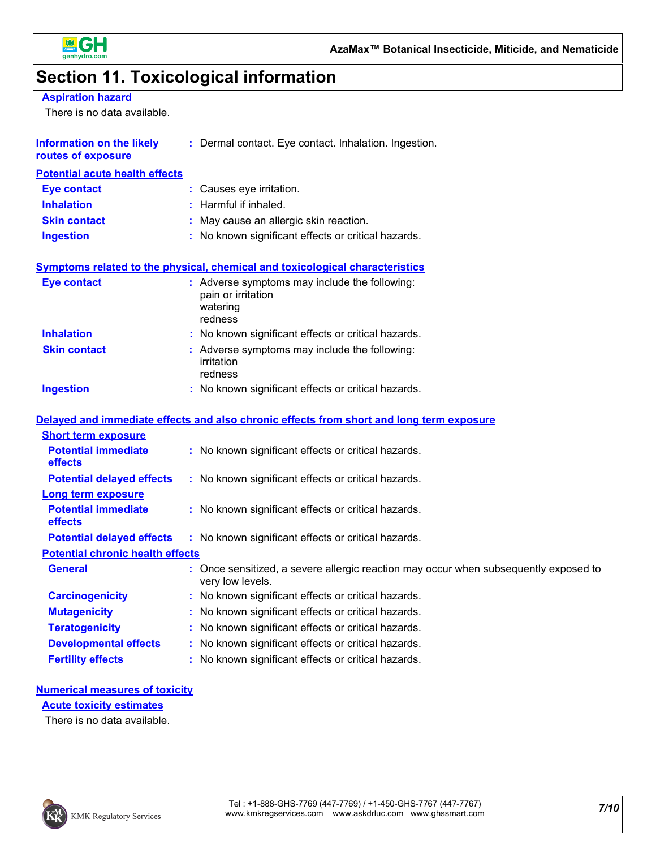

# **Section 11. Toxicological information**

**Aspiration hazard**

There is no data available.

| <b>Information on the likely</b><br>routes of exposure | : Dermal contact. Eye contact. Inhalation. Ingestion.                                                                                                                                                                          |
|--------------------------------------------------------|--------------------------------------------------------------------------------------------------------------------------------------------------------------------------------------------------------------------------------|
| <b>Potential acute health effects</b>                  |                                                                                                                                                                                                                                |
| <b>Eye contact</b>                                     | : Causes eye irritation.                                                                                                                                                                                                       |
| <b>Inhalation</b>                                      | : Harmful if inhaled.                                                                                                                                                                                                          |
| <b>Skin contact</b>                                    | : May cause an allergic skin reaction.                                                                                                                                                                                         |
| <b>Ingestion</b>                                       | : No known significant effects or critical hazards.                                                                                                                                                                            |
|                                                        | Symptoms related to the physical, chemical and toxicological characteristics                                                                                                                                                   |
| <b>Eye contact</b>                                     | : Adverse symptoms may include the following:<br>pain or irritation<br>watering<br>redness                                                                                                                                     |
| <b>Inhalation</b>                                      | : No known significant effects or critical hazards.                                                                                                                                                                            |
| <b>Skin contact</b>                                    | : Adverse symptoms may include the following:<br>irritation<br>redness                                                                                                                                                         |
| <b>Ingestion</b>                                       | : No known significant effects or critical hazards.                                                                                                                                                                            |
|                                                        | Delayed and immediate effects and also chronic effects from short and long term exposure                                                                                                                                       |
| <b>Short term exposure</b>                             |                                                                                                                                                                                                                                |
| <b>Potential immediate</b><br>effects                  | : No known significant effects or critical hazards.                                                                                                                                                                            |
| <b>Potential delayed effects</b>                       | : No known significant effects or critical hazards.                                                                                                                                                                            |
| <b>Long term exposure</b>                              |                                                                                                                                                                                                                                |
| <b>Potential immediate</b><br>effects                  | : No known significant effects or critical hazards.                                                                                                                                                                            |
| <b>Potential delayed effects</b>                       | : No known significant effects or critical hazards.                                                                                                                                                                            |
| <b>Potential chronic health effects</b>                |                                                                                                                                                                                                                                |
| <b>General</b>                                         | : Once sensitized, a severe allergic reaction may occur when subsequently exposed to<br>very low levels.                                                                                                                       |
| <b>Carcinogenicity</b>                                 | : No known significant effects or critical hazards.                                                                                                                                                                            |
| <b>Mutagenicity</b>                                    | : No known significant effects or critical hazards.                                                                                                                                                                            |
|                                                        | ka katika katika matangan sa masa sa matangan sa matangan ng mga matangang matangang matangang matangang matangan ng matangang matangang matangang matangang matangang matangang matangang matangang matangang matangang matan |

- **Teratogenicity :** No known significant effects or critical hazards. **Developmental effects :** No known significant effects or critical hazards.
- **Fertility effects :** No known significant effects or critical hazards.

### **Numerical measures of toxicity**

**Acute toxicity estimates**

There is no data available.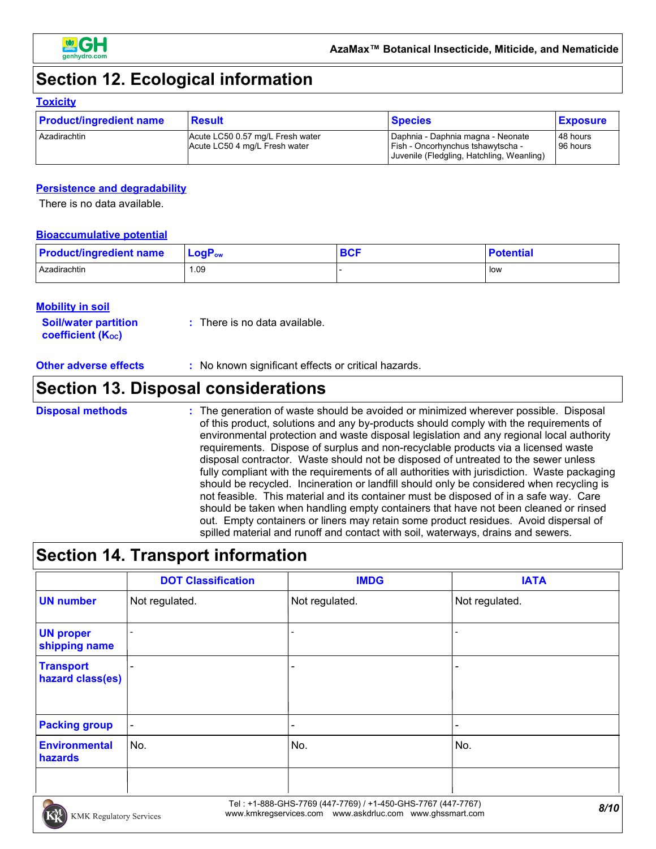

# **Section 12. Ecological information**

### **Toxicity**

| <b>Product/ingredient name</b> | Result                                                            | <b>Species</b>                                                                                                               | <b>Exposure</b>      |
|--------------------------------|-------------------------------------------------------------------|------------------------------------------------------------------------------------------------------------------------------|----------------------|
| Azadirachtin                   | Acute LC50 0.57 mg/L Fresh water<br>Acute LC50 4 mg/L Fresh water | Daphnia - Daphnia magna - Neonate<br><b>I Fish - Oncorhynchus tshawytscha -</b><br>Juvenile (Fledgling, Hatchling, Weanling) | 48 hours<br>96 hours |

### **Persistence and degradability**

There is no data available.

### **Bioaccumulative potential**

| <b>Product/ingredient name</b> | $\mathsf{LogP}_\mathsf{ow}$ | <b>BCF</b> | <b>Potential</b> |
|--------------------------------|-----------------------------|------------|------------------|
| Azadirachtin                   | 1.09                        |            | <b>low</b>       |

### **Mobility in soil**

**Soil/water partition coefficient (KOC) :** There is no data available.

**Other adverse effects** : No known significant effects or critical hazards.

### **Section 13. Disposal considerations**

#### The generation of waste should be avoided or minimized wherever possible. Disposal of this product, solutions and any by-products should comply with the requirements of environmental protection and waste disposal legislation and any regional local authority requirements. Dispose of surplus and non-recyclable products via a licensed waste disposal contractor. Waste should not be disposed of untreated to the sewer unless fully compliant with the requirements of all authorities with jurisdiction. Waste packaging should be recycled. Incineration or landfill should only be considered when recycling is not feasible. This material and its container must be disposed of in a safe way. Care should be taken when handling empty containers that have not been cleaned or rinsed out. Empty containers or liners may retain some product residues. Avoid dispersal of spilled material and runoff and contact with soil, waterways, drains and sewers. **Disposal methods :**

### **Section 14. Transport information**

|                                      | <b>DOT Classification</b> | <b>IMDG</b>              | <b>IATA</b>                  |
|--------------------------------------|---------------------------|--------------------------|------------------------------|
| <b>UN number</b>                     | Not regulated.            | Not regulated.           | Not regulated.               |
| <b>UN proper</b><br>shipping name    |                           |                          |                              |
| <b>Transport</b><br>hazard class(es) | $\overline{\phantom{0}}$  |                          |                              |
| <b>Packing group</b>                 | $\blacksquare$            | $\overline{\phantom{0}}$ | $\qquad \qquad \blacksquare$ |
| <b>Environmental</b><br>hazards      | No.                       | No.                      | No.                          |
|                                      |                           |                          |                              |

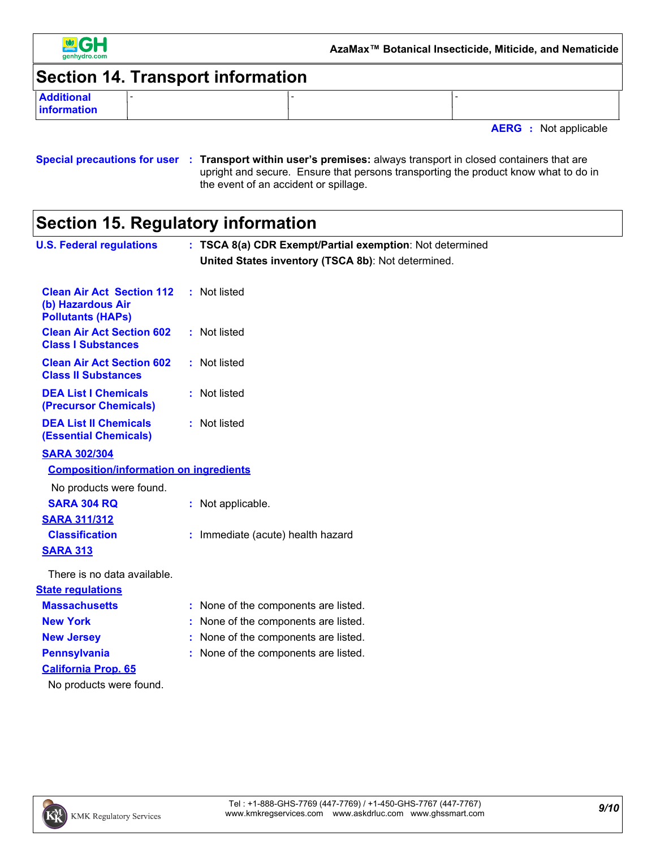

### **Section 14. Transport information**

**Additional information**

**AERG :** Not applicable

### **Special precautions for user Transport within user's premises:** always transport in closed containers that are **:** upright and secure. Ensure that persons transporting the product know what to do in the event of an accident or spillage.

# **Section 15. Regulatory information**

| <b>U.S. Federal regulations</b>                                                   | : TSCA 8(a) CDR Exempt/Partial exemption: Not determined<br>United States inventory (TSCA 8b): Not determined. |
|-----------------------------------------------------------------------------------|----------------------------------------------------------------------------------------------------------------|
| <b>Clean Air Act Section 112</b><br>(b) Hazardous Air<br><b>Pollutants (HAPs)</b> | : Not listed                                                                                                   |
| <b>Clean Air Act Section 602</b><br><b>Class I Substances</b>                     | : Not listed                                                                                                   |
| <b>Clean Air Act Section 602</b><br><b>Class II Substances</b>                    | : Not listed                                                                                                   |
| <b>DEA List I Chemicals</b><br>(Precursor Chemicals)                              | : Not listed                                                                                                   |
| <b>DEA List II Chemicals</b><br><b>(Essential Chemicals)</b>                      | : Not listed                                                                                                   |
| <b>SARA 302/304</b>                                                               |                                                                                                                |
| <b>Composition/information on ingredients</b>                                     |                                                                                                                |
| No products were found.                                                           |                                                                                                                |
| <b>SARA 304 RQ</b>                                                                | : Not applicable.                                                                                              |
| <b>SARA 311/312</b>                                                               |                                                                                                                |
| <b>Classification</b>                                                             | : Immediate (acute) health hazard                                                                              |
| <b>SARA 313</b>                                                                   |                                                                                                                |
| There is no data available.                                                       |                                                                                                                |
| <b>State regulations</b>                                                          |                                                                                                                |
| <b>Massachusetts</b>                                                              | : None of the components are listed.                                                                           |
| <b>New York</b>                                                                   | None of the components are listed.                                                                             |
| <b>New Jersey</b>                                                                 | : None of the components are listed.                                                                           |
| <b>Pennsylvania</b>                                                               | : None of the components are listed.                                                                           |
| <b>California Prop. 65</b>                                                        |                                                                                                                |
| No products were found.                                                           |                                                                                                                |